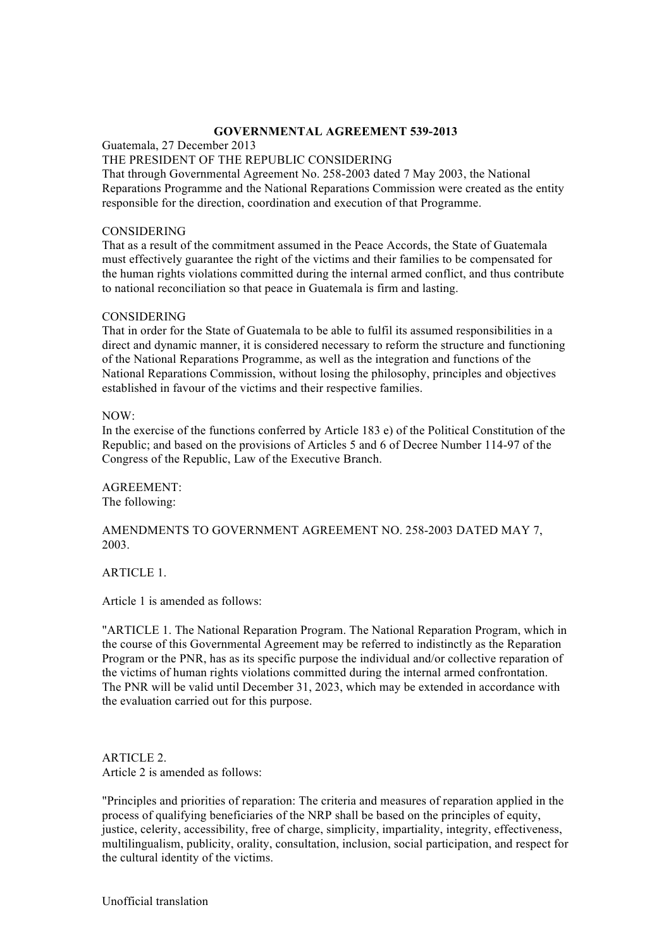## **GOVERNMENTAL AGREEMENT 539-2013**

Guatemala, 27 December 2013

### THE PRESIDENT OF THE REPUBLIC CONSIDERING

That through Governmental Agreement No. 258-2003 dated 7 May 2003, the National Reparations Programme and the National Reparations Commission were created as the entity responsible for the direction, coordination and execution of that Programme.

# CONSIDERING

That as a result of the commitment assumed in the Peace Accords, the State of Guatemala must effectively guarantee the right of the victims and their families to be compensated for the human rights violations committed during the internal armed conflict, and thus contribute to national reconciliation so that peace in Guatemala is firm and lasting.

### CONSIDERING

That in order for the State of Guatemala to be able to fulfil its assumed responsibilities in a direct and dynamic manner, it is considered necessary to reform the structure and functioning of the National Reparations Programme, as well as the integration and functions of the National Reparations Commission, without losing the philosophy, principles and objectives established in favour of the victims and their respective families.

 $NOW$ 

In the exercise of the functions conferred by Article 183 e) of the Political Constitution of the Republic; and based on the provisions of Articles 5 and 6 of Decree Number 114-97 of the Congress of the Republic, Law of the Executive Branch.

AGREEMENT: The following:

# AMENDMENTS TO GOVERNMENT AGREEMENT NO. 258-2003 DATED MAY 7, 2003.

ARTICLE 1.

Article 1 is amended as follows:

"ARTICLE 1. The National Reparation Program. The National Reparation Program, which in the course of this Governmental Agreement may be referred to indistinctly as the Reparation Program or the PNR, has as its specific purpose the individual and/or collective reparation of the victims of human rights violations committed during the internal armed confrontation. The PNR will be valid until December 31, 2023, which may be extended in accordance with the evaluation carried out for this purpose.

ARTICLE 2. Article 2 is amended as follows:

"Principles and priorities of reparation: The criteria and measures of reparation applied in the process of qualifying beneficiaries of the NRP shall be based on the principles of equity, justice, celerity, accessibility, free of charge, simplicity, impartiality, integrity, effectiveness, multilingualism, publicity, orality, consultation, inclusion, social participation, and respect for the cultural identity of the victims.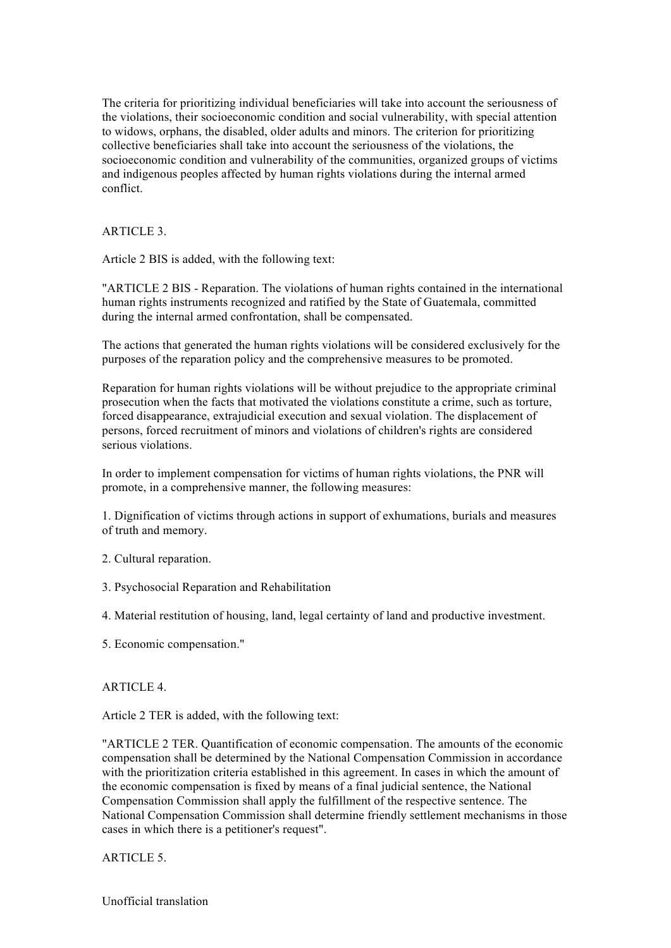The criteria for prioritizing individual beneficiaries will take into account the seriousness of the violations, their socioeconomic condition and social vulnerability, with special attention to widows, orphans, the disabled, older adults and minors. The criterion for prioritizing collective beneficiaries shall take into account the seriousness of the violations, the socioeconomic condition and vulnerability of the communities, organized groups of victims and indigenous peoples affected by human rights violations during the internal armed conflict.

# ARTICLE 3.

Article 2 BIS is added, with the following text:

"ARTICLE 2 BIS - Reparation. The violations of human rights contained in the international human rights instruments recognized and ratified by the State of Guatemala, committed during the internal armed confrontation, shall be compensated.

The actions that generated the human rights violations will be considered exclusively for the purposes of the reparation policy and the comprehensive measures to be promoted.

Reparation for human rights violations will be without prejudice to the appropriate criminal prosecution when the facts that motivated the violations constitute a crime, such as torture, forced disappearance, extrajudicial execution and sexual violation. The displacement of persons, forced recruitment of minors and violations of children's rights are considered serious violations.

In order to implement compensation for victims of human rights violations, the PNR will promote, in a comprehensive manner, the following measures:

1. Dignification of victims through actions in support of exhumations, burials and measures of truth and memory.

- 2. Cultural reparation.
- 3. Psychosocial Reparation and Rehabilitation

4. Material restitution of housing, land, legal certainty of land and productive investment.

5. Economic compensation."

#### ARTICLE 4.

Article 2 TER is added, with the following text:

"ARTICLE 2 TER. Quantification of economic compensation. The amounts of the economic compensation shall be determined by the National Compensation Commission in accordance with the prioritization criteria established in this agreement. In cases in which the amount of the economic compensation is fixed by means of a final judicial sentence, the National Compensation Commission shall apply the fulfillment of the respective sentence. The National Compensation Commission shall determine friendly settlement mechanisms in those cases in which there is a petitioner's request".

ARTICLE 5.

Unofficial translation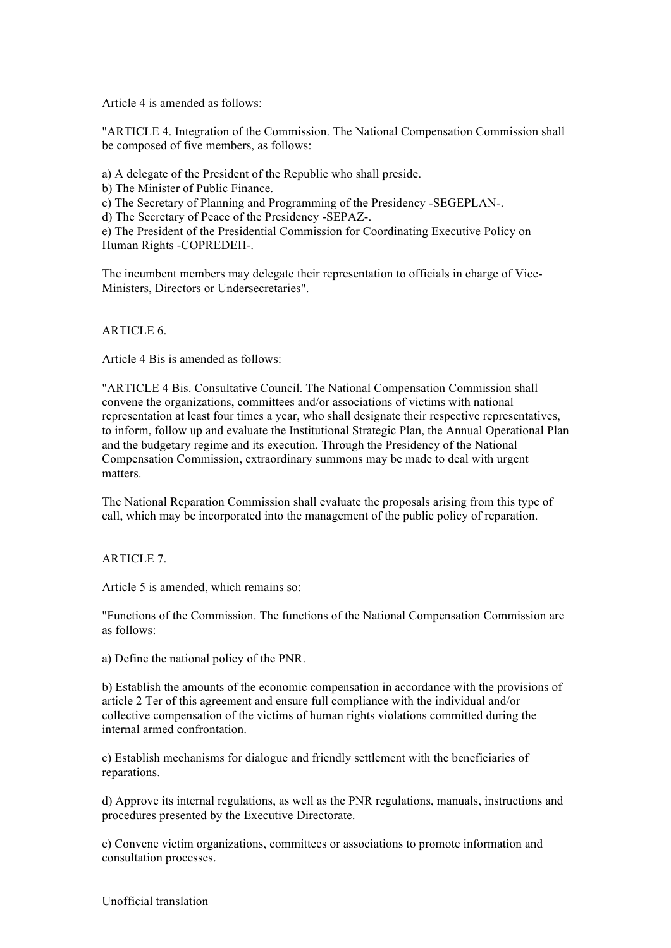Article 4 is amended as follows:

"ARTICLE 4. Integration of the Commission. The National Compensation Commission shall be composed of five members, as follows:

a) A delegate of the President of the Republic who shall preside.

b) The Minister of Public Finance.

c) The Secretary of Planning and Programming of the Presidency -SEGEPLAN-.

d) The Secretary of Peace of the Presidency -SEPAZ-.

e) The President of the Presidential Commission for Coordinating Executive Policy on Human Rights -COPREDEH-.

The incumbent members may delegate their representation to officials in charge of Vice-Ministers, Directors or Undersecretaries".

ARTICLE 6.

Article 4 Bis is amended as follows:

"ARTICLE 4 Bis. Consultative Council. The National Compensation Commission shall convene the organizations, committees and/or associations of victims with national representation at least four times a year, who shall designate their respective representatives, to inform, follow up and evaluate the Institutional Strategic Plan, the Annual Operational Plan and the budgetary regime and its execution. Through the Presidency of the National Compensation Commission, extraordinary summons may be made to deal with urgent matters.

The National Reparation Commission shall evaluate the proposals arising from this type of call, which may be incorporated into the management of the public policy of reparation.

ARTICLE 7.

Article 5 is amended, which remains so:

"Functions of the Commission. The functions of the National Compensation Commission are as follows:

a) Define the national policy of the PNR.

b) Establish the amounts of the economic compensation in accordance with the provisions of article 2 Ter of this agreement and ensure full compliance with the individual and/or collective compensation of the victims of human rights violations committed during the internal armed confrontation.

c) Establish mechanisms for dialogue and friendly settlement with the beneficiaries of reparations.

d) Approve its internal regulations, as well as the PNR regulations, manuals, instructions and procedures presented by the Executive Directorate.

e) Convene victim organizations, committees or associations to promote information and consultation processes.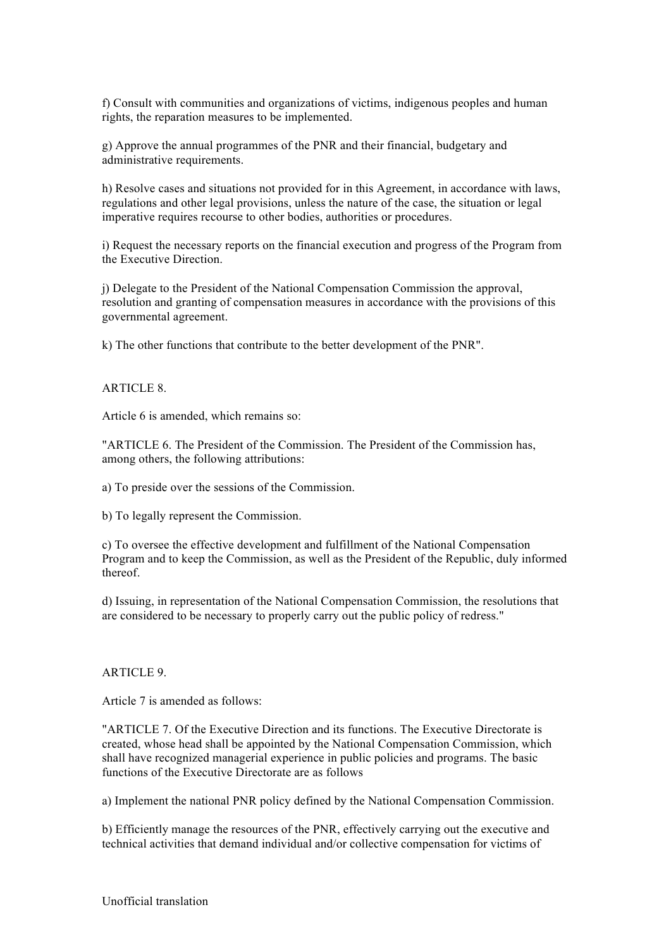f) Consult with communities and organizations of victims, indigenous peoples and human rights, the reparation measures to be implemented.

g) Approve the annual programmes of the PNR and their financial, budgetary and administrative requirements.

h) Resolve cases and situations not provided for in this Agreement, in accordance with laws, regulations and other legal provisions, unless the nature of the case, the situation or legal imperative requires recourse to other bodies, authorities or procedures.

i) Request the necessary reports on the financial execution and progress of the Program from the Executive Direction.

j) Delegate to the President of the National Compensation Commission the approval, resolution and granting of compensation measures in accordance with the provisions of this governmental agreement.

k) The other functions that contribute to the better development of the PNR".

### ARTICLE 8.

Article 6 is amended, which remains so:

"ARTICLE 6. The President of the Commission. The President of the Commission has, among others, the following attributions:

a) To preside over the sessions of the Commission.

b) To legally represent the Commission.

c) To oversee the effective development and fulfillment of the National Compensation Program and to keep the Commission, as well as the President of the Republic, duly informed thereof.

d) Issuing, in representation of the National Compensation Commission, the resolutions that are considered to be necessary to properly carry out the public policy of redress."

#### ARTICLE 9.

Article 7 is amended as follows:

"ARTICLE 7. Of the Executive Direction and its functions. The Executive Directorate is created, whose head shall be appointed by the National Compensation Commission, which shall have recognized managerial experience in public policies and programs. The basic functions of the Executive Directorate are as follows

a) Implement the national PNR policy defined by the National Compensation Commission.

b) Efficiently manage the resources of the PNR, effectively carrying out the executive and technical activities that demand individual and/or collective compensation for victims of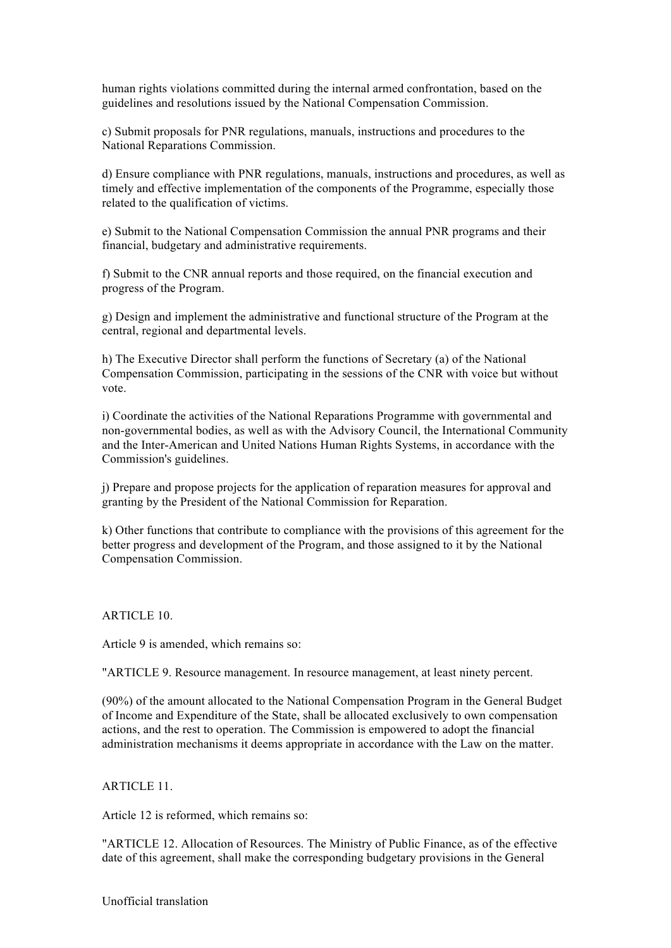human rights violations committed during the internal armed confrontation, based on the guidelines and resolutions issued by the National Compensation Commission.

c) Submit proposals for PNR regulations, manuals, instructions and procedures to the National Reparations Commission.

d) Ensure compliance with PNR regulations, manuals, instructions and procedures, as well as timely and effective implementation of the components of the Programme, especially those related to the qualification of victims.

e) Submit to the National Compensation Commission the annual PNR programs and their financial, budgetary and administrative requirements.

f) Submit to the CNR annual reports and those required, on the financial execution and progress of the Program.

g) Design and implement the administrative and functional structure of the Program at the central, regional and departmental levels.

h) The Executive Director shall perform the functions of Secretary (a) of the National Compensation Commission, participating in the sessions of the CNR with voice but without vote.

i) Coordinate the activities of the National Reparations Programme with governmental and non-governmental bodies, as well as with the Advisory Council, the International Community and the Inter-American and United Nations Human Rights Systems, in accordance with the Commission's guidelines.

j) Prepare and propose projects for the application of reparation measures for approval and granting by the President of the National Commission for Reparation.

k) Other functions that contribute to compliance with the provisions of this agreement for the better progress and development of the Program, and those assigned to it by the National Compensation Commission.

ARTICLE 10.

Article 9 is amended, which remains so:

"ARTICLE 9. Resource management. In resource management, at least ninety percent.

(90%) of the amount allocated to the National Compensation Program in the General Budget of Income and Expenditure of the State, shall be allocated exclusively to own compensation actions, and the rest to operation. The Commission is empowered to adopt the financial administration mechanisms it deems appropriate in accordance with the Law on the matter.

# ARTICLE 11.

Article 12 is reformed, which remains so:

"ARTICLE 12. Allocation of Resources. The Ministry of Public Finance, as of the effective date of this agreement, shall make the corresponding budgetary provisions in the General